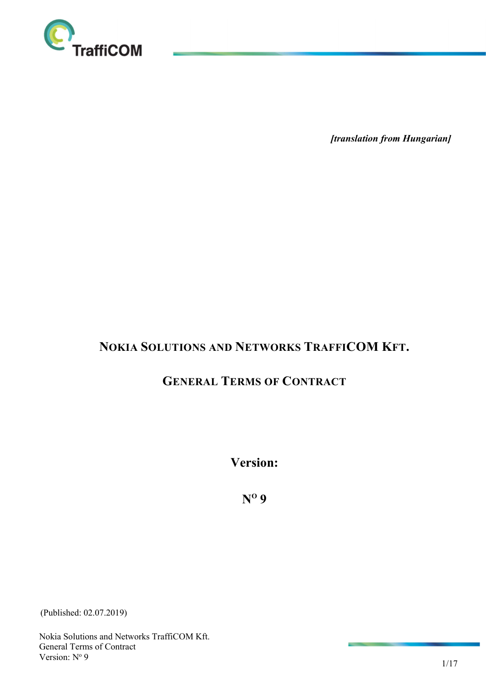

[translation from Hungarian]

## NOKIA SOLUTIONS AND NETWORKS TRAFFICOM KFT.

### GENERAL TERMS OF CONTRACT

Version:

N <sup>O</sup> 9

(Published: 02.07.2019)

Nokia Solutions and Networks TraffiCOM Kft. General Terms of Contract Version: N° 9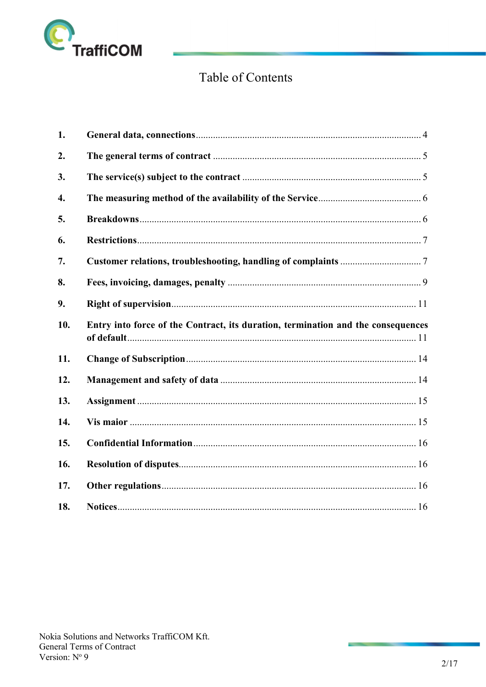

## Table of Contents

| 1.  |                                                                                  |  |
|-----|----------------------------------------------------------------------------------|--|
| 2.  |                                                                                  |  |
| 3.  |                                                                                  |  |
| 4.  |                                                                                  |  |
| 5.  |                                                                                  |  |
| 6.  |                                                                                  |  |
| 7.  |                                                                                  |  |
| 8.  |                                                                                  |  |
| 9.  |                                                                                  |  |
| 10. | Entry into force of the Contract, its duration, termination and the consequences |  |
| 11. |                                                                                  |  |
| 12. |                                                                                  |  |
| 13. |                                                                                  |  |
| 14. |                                                                                  |  |
| 15. |                                                                                  |  |
| 16. |                                                                                  |  |
| 17. |                                                                                  |  |
| 18. |                                                                                  |  |

**Contract Communication**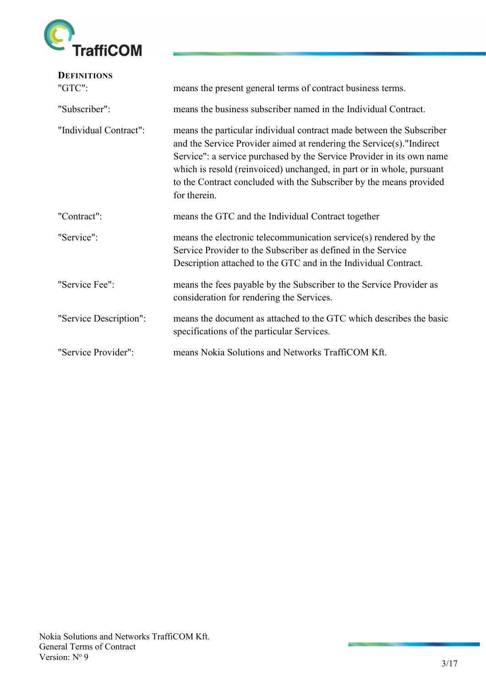

| <b>DEFINITIONS</b><br>"GTC": | means the present general terms of contract business terms.                                                                                                                                                                                                                                                                                                                            |
|------------------------------|----------------------------------------------------------------------------------------------------------------------------------------------------------------------------------------------------------------------------------------------------------------------------------------------------------------------------------------------------------------------------------------|
| "Subscriber":                | means the business subscriber named in the Individual Contract.                                                                                                                                                                                                                                                                                                                        |
| "Individual Contract":       | means the particular individual contract made between the Subscriber<br>and the Service Provider aimed at rendering the Service(s). "Indirect<br>Service": a service purchased by the Service Provider in its own name<br>which is resold (reinvoiced) unchanged, in part or in whole, pursuant<br>to the Contract concluded with the Subscriber by the means provided<br>for therein. |
| "Contract":                  | means the GTC and the Individual Contract together                                                                                                                                                                                                                                                                                                                                     |
| "Service":                   | means the electronic telecommunication service(s) rendered by the<br>Service Provider to the Subscriber as defined in the Service<br>Description attached to the GTC and in the Individual Contract.                                                                                                                                                                                   |
| "Service Fee":               | means the fees payable by the Subscriber to the Service Provider as<br>consideration for rendering the Services.                                                                                                                                                                                                                                                                       |
| "Service Description":       | means the document as attached to the GTC which describes the basic<br>specifications of the particular Services.                                                                                                                                                                                                                                                                      |
| "Service Provider":          | means Nokia Solutions and Networks TraffiCOM Kft.                                                                                                                                                                                                                                                                                                                                      |

**All of the Committee of the Committee**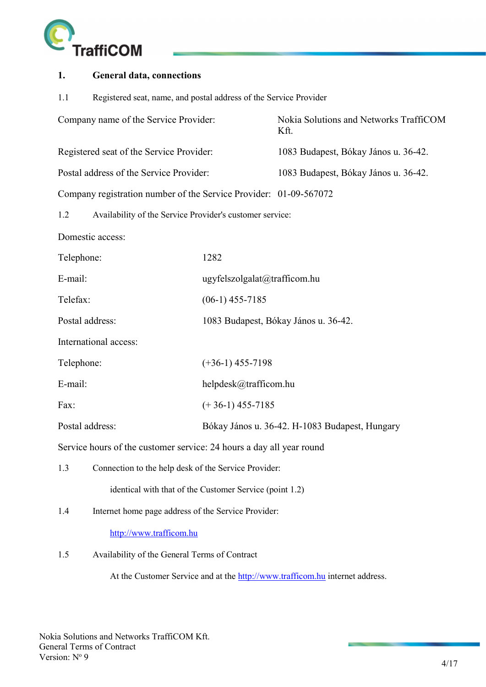

# 1. General data, connections 1.1 Registered seat, name, and postal address of the Service Provider Company name of the Service Provider: Nokia Solutions and Networks TraffiCOM Kft. Registered seat of the Service Provider: 1083 Budapest, Bókay János u. 36-42. Postal address of the Service Provider: 1083 Budapest, Bókay János u. 36-42. Company registration number of the Service Provider: 01-09-567072 1.2 Availability of the Service Provider's customer service: Domestic access: Telephone: 1282 E-mail: ugyfelszolgalat@trafficom.hu Telefax: (06-1) 455-7185 Postal address: 1083 Budapest, Bókay János u. 36-42. International access: Telephone: (+36-1) 455-7198 E-mail: helpdesk@trafficom.hu Fax: (+36-1) 455-7185 Postal address: Bókay János u. 36-42. H-1083 Budapest, Hungary Service hours of the customer service: 24 hours a day all year round 1.3 Connection to the help desk of the Service Provider: identical with that of the Customer Service (point 1.2) 1.4 Internet home page address of the Service Provider: http://www.trafficom.hu 1.5 Availability of the General Terms of Contract

At the Customer Service and at the http://www.trafficom.hu internet address.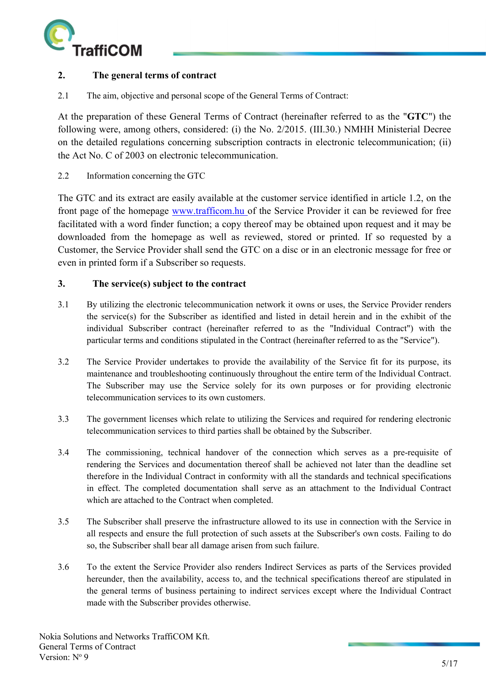

#### 2. The general terms of contract

2.1 The aim, objective and personal scope of the General Terms of Contract:

At the preparation of these General Terms of Contract (hereinafter referred to as the "GTC") the following were, among others, considered: (i) the No. 2/2015. (III.30.) NMHH Ministerial Decree on the detailed regulations concerning subscription contracts in electronic telecommunication; (ii) the Act No. C of 2003 on electronic telecommunication.

2.2 Information concerning the GTC

The GTC and its extract are easily available at the customer service identified in article 1.2, on the front page of the homepage www.trafficom.hu of the Service Provider it can be reviewed for free facilitated with a word finder function; a copy thereof may be obtained upon request and it may be downloaded from the homepage as well as reviewed, stored or printed. If so requested by a Customer, the Service Provider shall send the GTC on a disc or in an electronic message for free or even in printed form if a Subscriber so requests.

#### 3. The service(s) subject to the contract

- 3.1 By utilizing the electronic telecommunication network it owns or uses, the Service Provider renders the service(s) for the Subscriber as identified and listed in detail herein and in the exhibit of the individual Subscriber contract (hereinafter referred to as the "Individual Contract") with the particular terms and conditions stipulated in the Contract (hereinafter referred to as the "Service").
- 3.2 The Service Provider undertakes to provide the availability of the Service fit for its purpose, its maintenance and troubleshooting continuously throughout the entire term of the Individual Contract. The Subscriber may use the Service solely for its own purposes or for providing electronic telecommunication services to its own customers.
- 3.3 The government licenses which relate to utilizing the Services and required for rendering electronic telecommunication services to third parties shall be obtained by the Subscriber.
- 3.4 The commissioning, technical handover of the connection which serves as a pre-requisite of rendering the Services and documentation thereof shall be achieved not later than the deadline set therefore in the Individual Contract in conformity with all the standards and technical specifications in effect. The completed documentation shall serve as an attachment to the Individual Contract which are attached to the Contract when completed.
- 3.5 The Subscriber shall preserve the infrastructure allowed to its use in connection with the Service in all respects and ensure the full protection of such assets at the Subscriber's own costs. Failing to do so, the Subscriber shall bear all damage arisen from such failure.
- 3.6 To the extent the Service Provider also renders Indirect Services as parts of the Services provided hereunder, then the availability, access to, and the technical specifications thereof are stipulated in the general terms of business pertaining to indirect services except where the Individual Contract made with the Subscriber provides otherwise.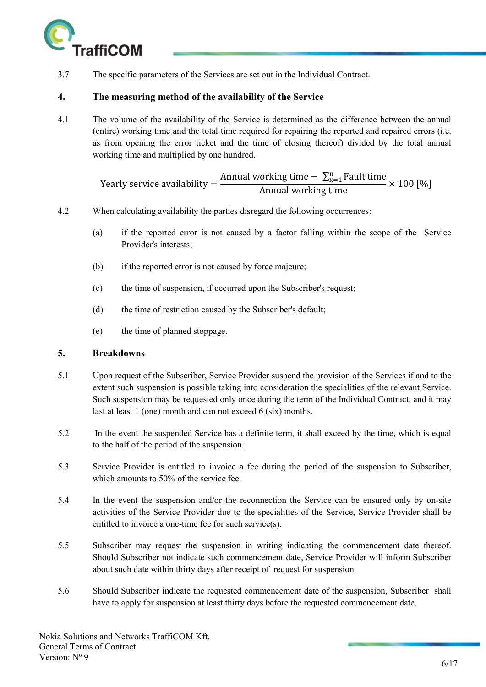

3.7 The specific parameters of the Services are set out in the Individual Contract.

#### 4. The measuring method of the availability of the Service

4.1 The volume of the availability of the Service is determined as the difference between the annual (entire) working time and the total time required for repairing the reported and repaired errors (i.e. as from opening the error ticket and the time of closing thereof) divided by the total annual working time and multiplied by one hundred.

> Yearly service availability  $=$   $\frac{1}{2}$ Annual working time  $-\sum_{x=1}^{n}$  Fault time<br>Annual working time  $\times 100$  [%]

- 4.2 When calculating availability the parties disregard the following occurrences:
	- (a) if the reported error is not caused by a factor falling within the scope of the Service Provider's interests;
	- (b) if the reported error is not caused by force majeure;
	- (c) the time of suspension, if occurred upon the Subscriber's request;
	- (d) the time of restriction caused by the Subscriber's default;
	- (e) the time of planned stoppage.

#### 5. Breakdowns

- 5.1 Upon request of the Subscriber, Service Provider suspend the provision of the Services if and to the extent such suspension is possible taking into consideration the specialities of the relevant Service. Such suspension may be requested only once during the term of the Individual Contract, and it may last at least 1 (one) month and can not exceed 6 (six) months.
- 5.2 In the event the suspended Service has a definite term, it shall exceed by the time, which is equal to the half of the period of the suspension.
- 5.3 Service Provider is entitled to invoice a fee during the period of the suspension to Subscriber, which amounts to 50% of the service fee.
- 5.4 In the event the suspension and/or the reconnection the Service can be ensured only by on-site activities of the Service Provider due to the specialities of the Service, Service Provider shall be entitled to invoice a one-time fee for such service(s).
- 5.5 Subscriber may request the suspension in writing indicating the commencement date thereof. Should Subscriber not indicate such commencement date, Service Provider will inform Subscriber about such date within thirty days after receipt of request for suspension.
- 5.6 Should Subscriber indicate the requested commencement date of the suspension, Subscriber shall have to apply for suspension at least thirty days before the requested commencement date.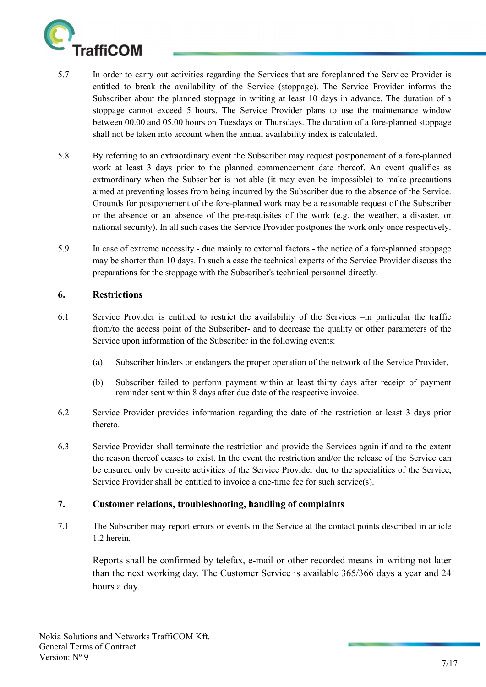

- 5.7 In order to carry out activities regarding the Services that are foreplanned the Service Provider is entitled to break the availability of the Service (stoppage). The Service Provider informs the Subscriber about the planned stoppage in writing at least 10 days in advance. The duration of a stoppage cannot exceed 5 hours. The Service Provider plans to use the maintenance window between 00.00 and 05.00 hours on Tuesdays or Thursdays. The duration of a fore-planned stoppage shall not be taken into account when the annual availability index is calculated.
- 5.8 By referring to an extraordinary event the Subscriber may request postponement of a fore-planned work at least 3 days prior to the planned commencement date thereof. An event qualifies as extraordinary when the Subscriber is not able (it may even be impossible) to make precautions aimed at preventing losses from being incurred by the Subscriber due to the absence of the Service. Grounds for postponement of the fore-planned work may be a reasonable request of the Subscriber or the absence or an absence of the pre-requisites of the work (e.g. the weather, a disaster, or national security). In all such cases the Service Provider postpones the work only once respectively.
- 5.9 In case of extreme necessity due mainly to external factors the notice of a fore-planned stoppage may be shorter than 10 days. In such a case the technical experts of the Service Provider discuss the preparations for the stoppage with the Subscriber's technical personnel directly.

#### 6. Restrictions

- 6.1 Service Provider is entitled to restrict the availability of the Services –in particular the traffic from/to the access point of the Subscriber- and to decrease the quality or other parameters of the Service upon information of the Subscriber in the following events:
	- (a) Subscriber hinders or endangers the proper operation of the network of the Service Provider,
	- (b) Subscriber failed to perform payment within at least thirty days after receipt of payment reminder sent within 8 days after due date of the respective invoice.
- 6.2 Service Provider provides information regarding the date of the restriction at least 3 days prior thereto.
- 6.3 Service Provider shall terminate the restriction and provide the Services again if and to the extent the reason thereof ceases to exist. In the event the restriction and/or the release of the Service can be ensured only by on-site activities of the Service Provider due to the specialities of the Service, Service Provider shall be entitled to invoice a one-time fee for such service(s).

#### 7. Customer relations, troubleshooting, handling of complaints

7.1 The Subscriber may report errors or events in the Service at the contact points described in article 1.2 herein.

Reports shall be confirmed by telefax, e-mail or other recorded means in writing not later than the next working day. The Customer Service is available 365/366 days a year and 24 hours a day.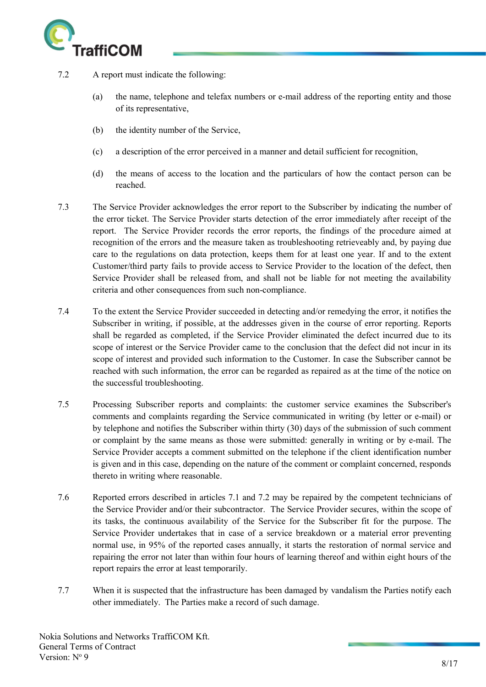

- 7.2 A report must indicate the following:
	- (a) the name, telephone and telefax numbers or e-mail address of the reporting entity and those of its representative,
	- (b) the identity number of the Service,
	- (c) a description of the error perceived in a manner and detail sufficient for recognition,
	- (d) the means of access to the location and the particulars of how the contact person can be reached.
- 7.3 The Service Provider acknowledges the error report to the Subscriber by indicating the number of the error ticket. The Service Provider starts detection of the error immediately after receipt of the report. The Service Provider records the error reports, the findings of the procedure aimed at recognition of the errors and the measure taken as troubleshooting retrieveably and, by paying due care to the regulations on data protection, keeps them for at least one year. If and to the extent Customer/third party fails to provide access to Service Provider to the location of the defect, then Service Provider shall be released from, and shall not be liable for not meeting the availability criteria and other consequences from such non-compliance.
- 7.4 To the extent the Service Provider succeeded in detecting and/or remedying the error, it notifies the Subscriber in writing, if possible, at the addresses given in the course of error reporting. Reports shall be regarded as completed, if the Service Provider eliminated the defect incurred due to its scope of interest or the Service Provider came to the conclusion that the defect did not incur in its scope of interest and provided such information to the Customer. In case the Subscriber cannot be reached with such information, the error can be regarded as repaired as at the time of the notice on the successful troubleshooting.
- 7.5 Processing Subscriber reports and complaints: the customer service examines the Subscriber's comments and complaints regarding the Service communicated in writing (by letter or e-mail) or by telephone and notifies the Subscriber within thirty (30) days of the submission of such comment or complaint by the same means as those were submitted: generally in writing or by e-mail. The Service Provider accepts a comment submitted on the telephone if the client identification number is given and in this case, depending on the nature of the comment or complaint concerned, responds thereto in writing where reasonable.
- 7.6 Reported errors described in articles 7.1 and 7.2 may be repaired by the competent technicians of the Service Provider and/or their subcontractor. The Service Provider secures, within the scope of its tasks, the continuous availability of the Service for the Subscriber fit for the purpose. The Service Provider undertakes that in case of a service breakdown or a material error preventing normal use, in 95% of the reported cases annually, it starts the restoration of normal service and repairing the error not later than within four hours of learning thereof and within eight hours of the report repairs the error at least temporarily.
- 7.7 When it is suspected that the infrastructure has been damaged by vandalism the Parties notify each other immediately. The Parties make a record of such damage.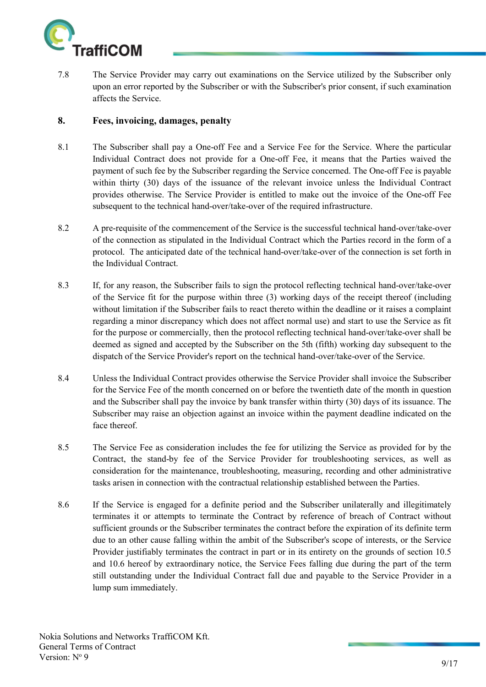

7.8 The Service Provider may carry out examinations on the Service utilized by the Subscriber only upon an error reported by the Subscriber or with the Subscriber's prior consent, if such examination affects the Service.

#### 8. Fees, invoicing, damages, penalty

- 8.1 The Subscriber shall pay a One-off Fee and a Service Fee for the Service. Where the particular Individual Contract does not provide for a One-off Fee, it means that the Parties waived the payment of such fee by the Subscriber regarding the Service concerned. The One-off Fee is payable within thirty (30) days of the issuance of the relevant invoice unless the Individual Contract provides otherwise. The Service Provider is entitled to make out the invoice of the One-off Fee subsequent to the technical hand-over/take-over of the required infrastructure.
- 8.2 A pre-requisite of the commencement of the Service is the successful technical hand-over/take-over of the connection as stipulated in the Individual Contract which the Parties record in the form of a protocol. The anticipated date of the technical hand-over/take-over of the connection is set forth in the Individual Contract.
- 8.3 If, for any reason, the Subscriber fails to sign the protocol reflecting technical hand-over/take-over of the Service fit for the purpose within three (3) working days of the receipt thereof (including without limitation if the Subscriber fails to react thereto within the deadline or it raises a complaint regarding a minor discrepancy which does not affect normal use) and start to use the Service as fit for the purpose or commercially, then the protocol reflecting technical hand-over/take-over shall be deemed as signed and accepted by the Subscriber on the 5th (fifth) working day subsequent to the dispatch of the Service Provider's report on the technical hand-over/take-over of the Service.
- 8.4 Unless the Individual Contract provides otherwise the Service Provider shall invoice the Subscriber for the Service Fee of the month concerned on or before the twentieth date of the month in question and the Subscriber shall pay the invoice by bank transfer within thirty (30) days of its issuance. The Subscriber may raise an objection against an invoice within the payment deadline indicated on the face thereof.
- 8.5 The Service Fee as consideration includes the fee for utilizing the Service as provided for by the Contract, the stand-by fee of the Service Provider for troubleshooting services, as well as consideration for the maintenance, troubleshooting, measuring, recording and other administrative tasks arisen in connection with the contractual relationship established between the Parties.
- 8.6 If the Service is engaged for a definite period and the Subscriber unilaterally and illegitimately terminates it or attempts to terminate the Contract by reference of breach of Contract without sufficient grounds or the Subscriber terminates the contract before the expiration of its definite term due to an other cause falling within the ambit of the Subscriber's scope of interests, or the Service Provider justifiably terminates the contract in part or in its entirety on the grounds of section 10.5 and 10.6 hereof by extraordinary notice, the Service Fees falling due during the part of the term still outstanding under the Individual Contract fall due and payable to the Service Provider in a lump sum immediately.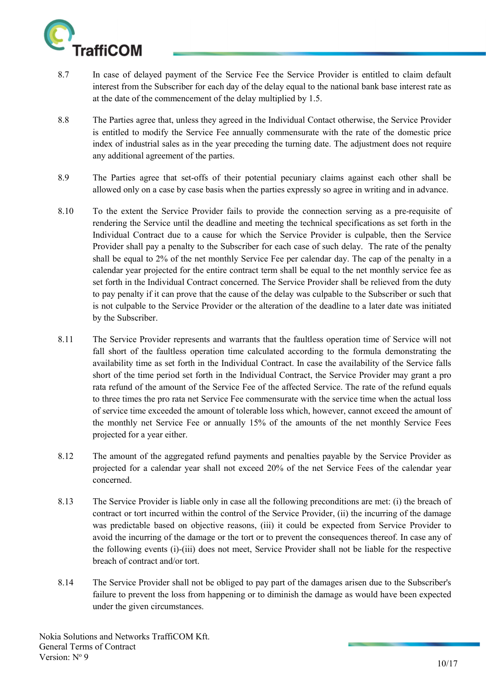

- 8.7 In case of delayed payment of the Service Fee the Service Provider is entitled to claim default interest from the Subscriber for each day of the delay equal to the national bank base interest rate as at the date of the commencement of the delay multiplied by 1.5.
- 8.8 The Parties agree that, unless they agreed in the Individual Contact otherwise, the Service Provider is entitled to modify the Service Fee annually commensurate with the rate of the domestic price index of industrial sales as in the year preceding the turning date. The adjustment does not require any additional agreement of the parties.
- 8.9 The Parties agree that set-offs of their potential pecuniary claims against each other shall be allowed only on a case by case basis when the parties expressly so agree in writing and in advance.
- 8.10 To the extent the Service Provider fails to provide the connection serving as a pre-requisite of rendering the Service until the deadline and meeting the technical specifications as set forth in the Individual Contract due to a cause for which the Service Provider is culpable, then the Service Provider shall pay a penalty to the Subscriber for each case of such delay. The rate of the penalty shall be equal to 2% of the net monthly Service Fee per calendar day. The cap of the penalty in a calendar year projected for the entire contract term shall be equal to the net monthly service fee as set forth in the Individual Contract concerned. The Service Provider shall be relieved from the duty to pay penalty if it can prove that the cause of the delay was culpable to the Subscriber or such that is not culpable to the Service Provider or the alteration of the deadline to a later date was initiated by the Subscriber.
- 8.11 The Service Provider represents and warrants that the faultless operation time of Service will not fall short of the faultless operation time calculated according to the formula demonstrating the availability time as set forth in the Individual Contract. In case the availability of the Service falls short of the time period set forth in the Individual Contract, the Service Provider may grant a pro rata refund of the amount of the Service Fee of the affected Service. The rate of the refund equals to three times the pro rata net Service Fee commensurate with the service time when the actual loss of service time exceeded the amount of tolerable loss which, however, cannot exceed the amount of the monthly net Service Fee or annually 15% of the amounts of the net monthly Service Fees projected for a year either.
- 8.12 The amount of the aggregated refund payments and penalties payable by the Service Provider as projected for a calendar year shall not exceed 20% of the net Service Fees of the calendar year concerned.
- 8.13 The Service Provider is liable only in case all the following preconditions are met: (i) the breach of contract or tort incurred within the control of the Service Provider, (ii) the incurring of the damage was predictable based on objective reasons, (iii) it could be expected from Service Provider to avoid the incurring of the damage or the tort or to prevent the consequences thereof. In case any of the following events (i)-(iii) does not meet, Service Provider shall not be liable for the respective breach of contract and/or tort.
- 8.14 The Service Provider shall not be obliged to pay part of the damages arisen due to the Subscriber's failure to prevent the loss from happening or to diminish the damage as would have been expected under the given circumstances.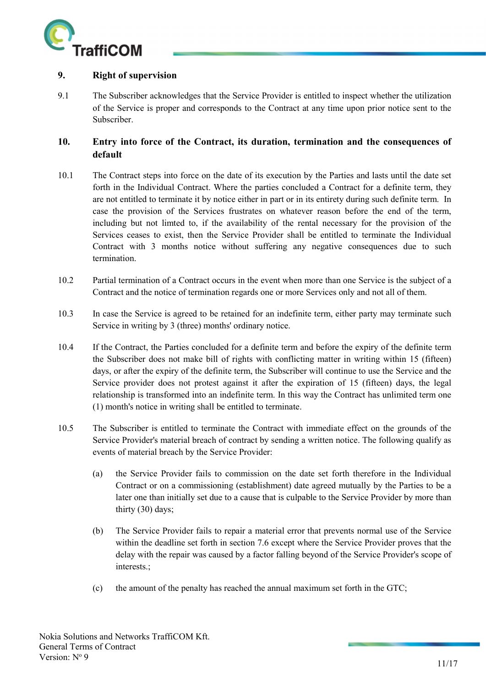

#### 9. Right of supervision

9.1 The Subscriber acknowledges that the Service Provider is entitled to inspect whether the utilization of the Service is proper and corresponds to the Contract at any time upon prior notice sent to the Subscriber.

#### 10. Entry into force of the Contract, its duration, termination and the consequences of default

- 10.1 The Contract steps into force on the date of its execution by the Parties and lasts until the date set forth in the Individual Contract. Where the parties concluded a Contract for a definite term, they are not entitled to terminate it by notice either in part or in its entirety during such definite term. In case the provision of the Services frustrates on whatever reason before the end of the term, including but not limted to, if the availability of the rental necessary for the provision of the Services ceases to exist, then the Service Provider shall be entitled to terminate the Individual Contract with 3 months notice without suffering any negative consequences due to such termination.
- 10.2 Partial termination of a Contract occurs in the event when more than one Service is the subject of a Contract and the notice of termination regards one or more Services only and not all of them.
- 10.3 In case the Service is agreed to be retained for an indefinite term, either party may terminate such Service in writing by 3 (three) months' ordinary notice.
- 10.4 If the Contract, the Parties concluded for a definite term and before the expiry of the definite term the Subscriber does not make bill of rights with conflicting matter in writing within 15 (fifteen) days, or after the expiry of the definite term, the Subscriber will continue to use the Service and the Service provider does not protest against it after the expiration of 15 (fifteen) days, the legal relationship is transformed into an indefinite term. In this way the Contract has unlimited term one (1) month's notice in writing shall be entitled to terminate.
- 10.5 The Subscriber is entitled to terminate the Contract with immediate effect on the grounds of the Service Provider's material breach of contract by sending a written notice. The following qualify as events of material breach by the Service Provider:
	- (a) the Service Provider fails to commission on the date set forth therefore in the Individual Contract or on a commissioning (establishment) date agreed mutually by the Parties to be a later one than initially set due to a cause that is culpable to the Service Provider by more than thirty (30) days;
	- (b) The Service Provider fails to repair a material error that prevents normal use of the Service within the deadline set forth in section 7.6 except where the Service Provider proves that the delay with the repair was caused by a factor falling beyond of the Service Provider's scope of interests.;
	- (c) the amount of the penalty has reached the annual maximum set forth in the GTC;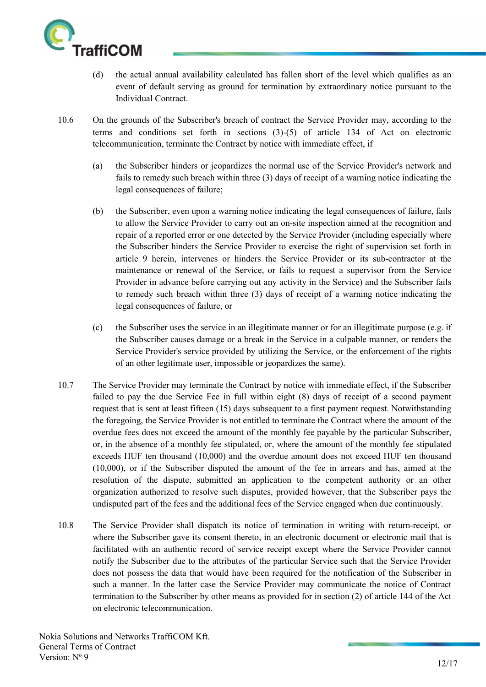

- (d) the actual annual availability calculated has fallen short of the level which qualifies as an event of default serving as ground for termination by extraordinary notice pursuant to the Individual Contract.
- 10.6 On the grounds of the Subscriber's breach of contract the Service Provider may, according to the terms and conditions set forth in sections (3)-(5) of article 134 of Act on electronic telecommunication, terminate the Contract by notice with immediate effect, if
	- (a) the Subscriber hinders or jeopardizes the normal use of the Service Provider's network and fails to remedy such breach within three (3) days of receipt of a warning notice indicating the legal consequences of failure;
	- (b) the Subscriber, even upon a warning notice indicating the legal consequences of failure, fails to allow the Service Provider to carry out an on-site inspection aimed at the recognition and repair of a reported error or one detected by the Service Provider (including especially where the Subscriber hinders the Service Provider to exercise the right of supervision set forth in article 9 herein, intervenes or hinders the Service Provider or its sub-contractor at the maintenance or renewal of the Service, or fails to request a supervisor from the Service Provider in advance before carrying out any activity in the Service) and the Subscriber fails to remedy such breach within three (3) days of receipt of a warning notice indicating the legal consequences of failure, or
	- (c) the Subscriber uses the service in an illegitimate manner or for an illegitimate purpose (e.g. if the Subscriber causes damage or a break in the Service in a culpable manner, or renders the Service Provider's service provided by utilizing the Service, or the enforcement of the rights of an other legitimate user, impossible or jeopardizes the same).
- 10.7 The Service Provider may terminate the Contract by notice with immediate effect, if the Subscriber failed to pay the due Service Fee in full within eight (8) days of receipt of a second payment request that is sent at least fifteen (15) days subsequent to a first payment request. Notwithstanding the foregoing, the Service Provider is not entitled to terminate the Contract where the amount of the overdue fees does not exceed the amount of the monthly fee payable by the particular Subscriber, or, in the absence of a monthly fee stipulated, or, where the amount of the monthly fee stipulated exceeds HUF ten thousand (10,000) and the overdue amount does not exceed HUF ten thousand (10,000), or if the Subscriber disputed the amount of the fee in arrears and has, aimed at the resolution of the dispute, submitted an application to the competent authority or an other organization authorized to resolve such disputes, provided however, that the Subscriber pays the undisputed part of the fees and the additional fees of the Service engaged when due continuously.
- 10.8 The Service Provider shall dispatch its notice of termination in writing with return-receipt, or where the Subscriber gave its consent thereto, in an electronic document or electronic mail that is facilitated with an authentic record of service receipt except where the Service Provider cannot notify the Subscriber due to the attributes of the particular Service such that the Service Provider does not possess the data that would have been required for the notification of the Subscriber in such a manner. In the latter case the Service Provider may communicate the notice of Contract termination to the Subscriber by other means as provided for in section (2) of article 144 of the Act on electronic telecommunication.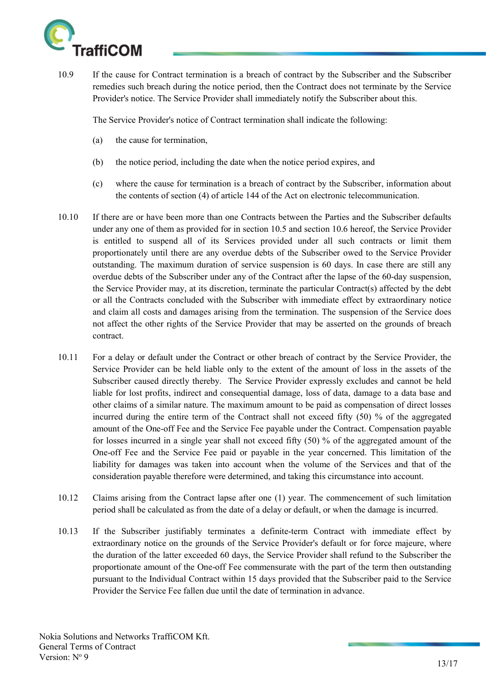

10.9 If the cause for Contract termination is a breach of contract by the Subscriber and the Subscriber remedies such breach during the notice period, then the Contract does not terminate by the Service Provider's notice. The Service Provider shall immediately notify the Subscriber about this.

The Service Provider's notice of Contract termination shall indicate the following:

- (a) the cause for termination,
- (b) the notice period, including the date when the notice period expires, and
- (c) where the cause for termination is a breach of contract by the Subscriber, information about the contents of section (4) of article 144 of the Act on electronic telecommunication.
- 10.10 If there are or have been more than one Contracts between the Parties and the Subscriber defaults under any one of them as provided for in section 10.5 and section 10.6 hereof, the Service Provider is entitled to suspend all of its Services provided under all such contracts or limit them proportionately until there are any overdue debts of the Subscriber owed to the Service Provider outstanding. The maximum duration of service suspension is 60 days. In case there are still any overdue debts of the Subscriber under any of the Contract after the lapse of the 60-day suspension, the Service Provider may, at its discretion, terminate the particular Contract(s) affected by the debt or all the Contracts concluded with the Subscriber with immediate effect by extraordinary notice and claim all costs and damages arising from the termination. The suspension of the Service does not affect the other rights of the Service Provider that may be asserted on the grounds of breach contract.
- 10.11 For a delay or default under the Contract or other breach of contract by the Service Provider, the Service Provider can be held liable only to the extent of the amount of loss in the assets of the Subscriber caused directly thereby. The Service Provider expressly excludes and cannot be held liable for lost profits, indirect and consequential damage, loss of data, damage to a data base and other claims of a similar nature. The maximum amount to be paid as compensation of direct losses incurred during the entire term of the Contract shall not exceed fifty (50) % of the aggregated amount of the One-off Fee and the Service Fee payable under the Contract. Compensation payable for losses incurred in a single year shall not exceed fifty (50) % of the aggregated amount of the One-off Fee and the Service Fee paid or payable in the year concerned. This limitation of the liability for damages was taken into account when the volume of the Services and that of the consideration payable therefore were determined, and taking this circumstance into account.
- 10.12 Claims arising from the Contract lapse after one (1) year. The commencement of such limitation period shall be calculated as from the date of a delay or default, or when the damage is incurred.
- 10.13 If the Subscriber justifiably terminates a definite-term Contract with immediate effect by extraordinary notice on the grounds of the Service Provider's default or for force majeure, where the duration of the latter exceeded 60 days, the Service Provider shall refund to the Subscriber the proportionate amount of the One-off Fee commensurate with the part of the term then outstanding pursuant to the Individual Contract within 15 days provided that the Subscriber paid to the Service Provider the Service Fee fallen due until the date of termination in advance.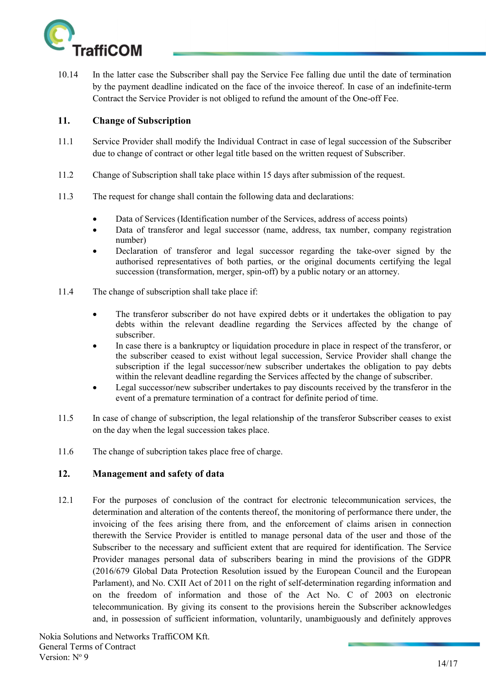

10.14 In the latter case the Subscriber shall pay the Service Fee falling due until the date of termination by the payment deadline indicated on the face of the invoice thereof. In case of an indefinite-term Contract the Service Provider is not obliged to refund the amount of the One-off Fee.

#### 11. Change of Subscription

- 11.1 Service Provider shall modify the Individual Contract in case of legal succession of the Subscriber due to change of contract or other legal title based on the written request of Subscriber.
- 11.2 Change of Subscription shall take place within 15 days after submission of the request.
- 11.3 The request for change shall contain the following data and declarations:
	- Data of Services (Identification number of the Services, address of access points)
	- Data of transferor and legal successor (name, address, tax number, company registration number)
	- Declaration of transferor and legal successor regarding the take-over signed by the authorised representatives of both parties, or the original documents certifying the legal succession (transformation, merger, spin-off) by a public notary or an attorney.
- 11.4 The change of subscription shall take place if:
	- The transferor subscriber do not have expired debts or it undertakes the obligation to pay debts within the relevant deadline regarding the Services affected by the change of subscriber.
	- In case there is a bankruptcy or liquidation procedure in place in respect of the transferor, or the subscriber ceased to exist without legal succession, Service Provider shall change the subscription if the legal successor/new subscriber undertakes the obligation to pay debts within the relevant deadline regarding the Services affected by the change of subscriber.
	- Legal successor/new subscriber undertakes to pay discounts received by the transferor in the event of a premature termination of a contract for definite period of time.
- 11.5 In case of change of subscription, the legal relationship of the transferor Subscriber ceases to exist on the day when the legal succession takes place.
- 11.6 The change of subcription takes place free of charge.

#### 12. Management and safety of data

12.1 For the purposes of conclusion of the contract for electronic telecommunication services, the determination and alteration of the contents thereof, the monitoring of performance there under, the invoicing of the fees arising there from, and the enforcement of claims arisen in connection therewith the Service Provider is entitled to manage personal data of the user and those of the Subscriber to the necessary and sufficient extent that are required for identification. The Service Provider manages personal data of subscribers bearing in mind the provisions of the GDPR (2016/679 Global Data Protection Resolution issued by the European Council and the European Parlament), and No. CXII Act of 2011 on the right of self-determination regarding information and on the freedom of information and those of the Act No. C of 2003 on electronic telecommunication. By giving its consent to the provisions herein the Subscriber acknowledges and, in possession of sufficient information, voluntarily, unambiguously and definitely approves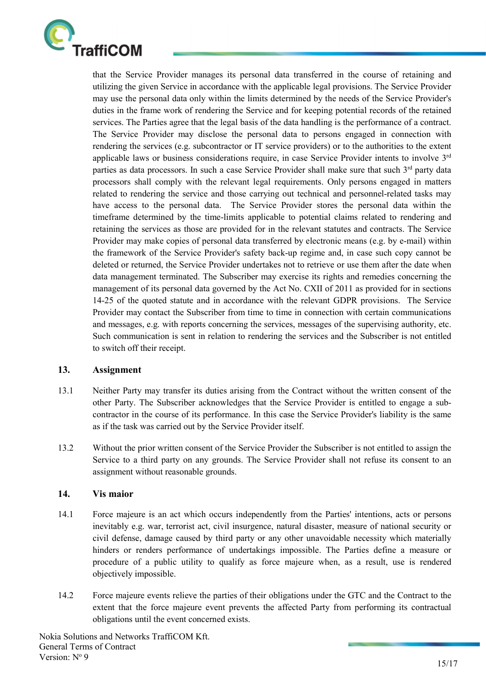

that the Service Provider manages its personal data transferred in the course of retaining and utilizing the given Service in accordance with the applicable legal provisions. The Service Provider may use the personal data only within the limits determined by the needs of the Service Provider's duties in the frame work of rendering the Service and for keeping potential records of the retained services. The Parties agree that the legal basis of the data handling is the performance of a contract. The Service Provider may disclose the personal data to persons engaged in connection with rendering the services (e.g. subcontractor or IT service providers) or to the authorities to the extent applicable laws or business considerations require, in case Service Provider intents to involve 3<sup>rd</sup> parties as data processors. In such a case Service Provider shall make sure that such 3<sup>rd</sup> party data processors shall comply with the relevant legal requirements. Only persons engaged in matters related to rendering the service and those carrying out technical and personnel-related tasks may have access to the personal data. The Service Provider stores the personal data within the timeframe determined by the time-limits applicable to potential claims related to rendering and retaining the services as those are provided for in the relevant statutes and contracts. The Service Provider may make copies of personal data transferred by electronic means (e.g. by e-mail) within the framework of the Service Provider's safety back-up regime and, in case such copy cannot be deleted or returned, the Service Provider undertakes not to retrieve or use them after the date when data management terminated. The Subscriber may exercise its rights and remedies concerning the management of its personal data governed by the Act No. CXII of 2011 as provided for in sections 14-25 of the quoted statute and in accordance with the relevant GDPR provisions. The Service Provider may contact the Subscriber from time to time in connection with certain communications and messages, e.g. with reports concerning the services, messages of the supervising authority, etc. Such communication is sent in relation to rendering the services and the Subscriber is not entitled to switch off their receipt.

#### 13. Assignment

- 13.1 Neither Party may transfer its duties arising from the Contract without the written consent of the other Party. The Subscriber acknowledges that the Service Provider is entitled to engage a subcontractor in the course of its performance. In this case the Service Provider's liability is the same as if the task was carried out by the Service Provider itself.
- 13.2 Without the prior written consent of the Service Provider the Subscriber is not entitled to assign the Service to a third party on any grounds. The Service Provider shall not refuse its consent to an assignment without reasonable grounds.

#### 14. Vis maior

- 14.1 Force majeure is an act which occurs independently from the Parties' intentions, acts or persons inevitably e.g. war, terrorist act, civil insurgence, natural disaster, measure of national security or civil defense, damage caused by third party or any other unavoidable necessity which materially hinders or renders performance of undertakings impossible. The Parties define a measure or procedure of a public utility to qualify as force majeure when, as a result, use is rendered objectively impossible.
- 14.2 Force majeure events relieve the parties of their obligations under the GTC and the Contract to the extent that the force majeure event prevents the affected Party from performing its contractual obligations until the event concerned exists.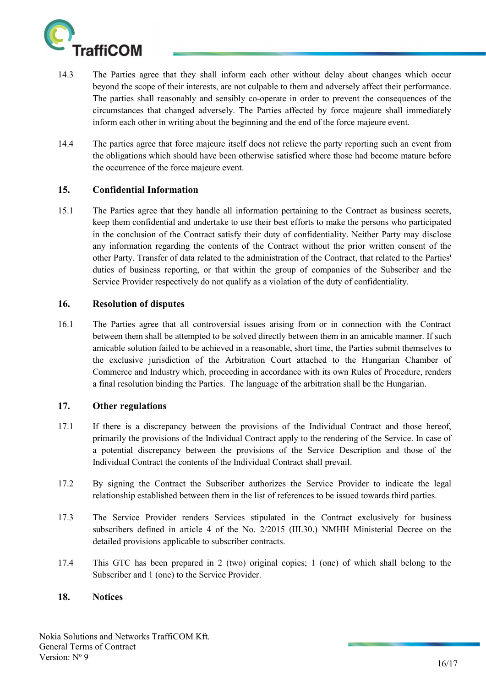

- 14.3 The Parties agree that they shall inform each other without delay about changes which occur beyond the scope of their interests, are not culpable to them and adversely affect their performance. The parties shall reasonably and sensibly co-operate in order to prevent the consequences of the circumstances that changed adversely. The Parties affected by force majeure shall immediately inform each other in writing about the beginning and the end of the force majeure event.
- 14.4 The parties agree that force majeure itself does not relieve the party reporting such an event from the obligations which should have been otherwise satisfied where those had become mature before the occurrence of the force majeure event.

#### 15. Confidential Information

15.1 The Parties agree that they handle all information pertaining to the Contract as business secrets, keep them confidential and undertake to use their best efforts to make the persons who participated in the conclusion of the Contract satisfy their duty of confidentiality. Neither Party may disclose any information regarding the contents of the Contract without the prior written consent of the other Party. Transfer of data related to the administration of the Contract, that related to the Parties' duties of business reporting, or that within the group of companies of the Subscriber and the Service Provider respectively do not qualify as a violation of the duty of confidentiality.

#### 16. Resolution of disputes

16.1 The Parties agree that all controversial issues arising from or in connection with the Contract between them shall be attempted to be solved directly between them in an amicable manner. If such amicable solution failed to be achieved in a reasonable, short time, the Parties submit themselves to the exclusive jurisdiction of the Arbitration Court attached to the Hungarian Chamber of Commerce and Industry which, proceeding in accordance with its own Rules of Procedure, renders a final resolution binding the Parties. The language of the arbitration shall be the Hungarian.

#### 17. Other regulations

- 17.1 If there is a discrepancy between the provisions of the Individual Contract and those hereof, primarily the provisions of the Individual Contract apply to the rendering of the Service. In case of a potential discrepancy between the provisions of the Service Description and those of the Individual Contract the contents of the Individual Contract shall prevail.
- 17.2 By signing the Contract the Subscriber authorizes the Service Provider to indicate the legal relationship established between them in the list of references to be issued towards third parties.
- 17.3 The Service Provider renders Services stipulated in the Contract exclusively for business subscribers defined in article 4 of the No. 2/2015 (III.30.) NMHH Ministerial Decree on the detailed provisions applicable to subscriber contracts.
- 17.4 This GTC has been prepared in 2 (two) original copies; 1 (one) of which shall belong to the Subscriber and 1 (one) to the Service Provider.

#### 18. Notices